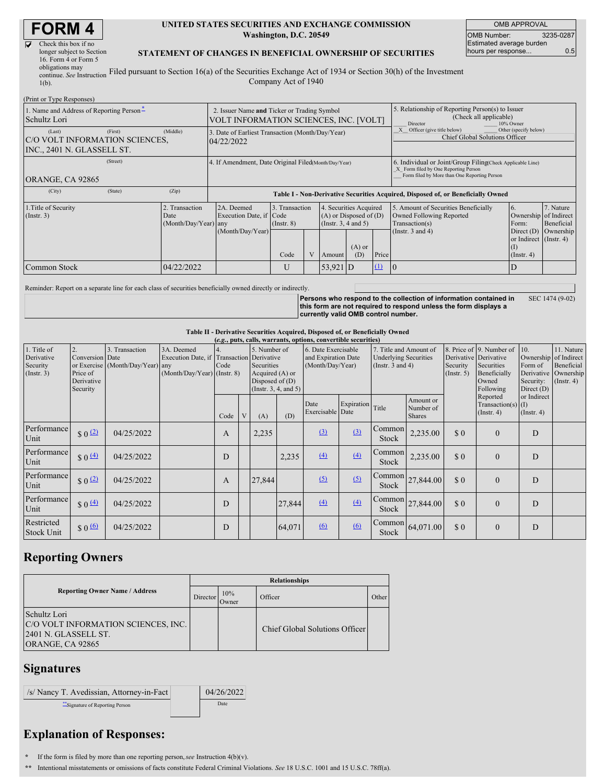# **FORM 4**

| Check this box if no      |  |
|---------------------------|--|
| longer subject to Section |  |
| 16. Form 4 or Form 5      |  |
| obligations may           |  |
| continue. See Instruction |  |

#### **UNITED STATES SECURITIES AND EXCHANGE COMMISSION Washington, D.C. 20549**

OMB APPROVAL OMB Number: 3235-0287 Estimated average burden hours per response... 0.5

#### **STATEMENT OF CHANGES IN BENEFICIAL OWNERSHIP OF SECURITIES**

continue. *See* Instruction  $1(b)$ . Filed pursuant to Section 16(a) of the Securities Exchange Act of 1934 or Section 30(h) of the Investment Company Act of 1940

| (Print or Type Responses)                                                                     |                      |                                                                                       |      |                |                          |                                                      |                                                                                                     |                                                                                                                                                    |                                                                  |                        |  |
|-----------------------------------------------------------------------------------------------|----------------------|---------------------------------------------------------------------------------------|------|----------------|--------------------------|------------------------------------------------------|-----------------------------------------------------------------------------------------------------|----------------------------------------------------------------------------------------------------------------------------------------------------|------------------------------------------------------------------|------------------------|--|
| 1. Name and Address of Reporting Person-<br>Schultz Lori                                      |                      | 2. Issuer Name and Ticker or Trading Symbol<br>VOLT INFORMATION SCIENCES, INC. [VOLT] |      |                |                          |                                                      | 5. Relationship of Reporting Person(s) to Issuer<br>(Check all applicable)<br>Director<br>10% Owner |                                                                                                                                                    |                                                                  |                        |  |
| (Middle)<br>(First)<br>(Last)<br>C/O VOLT INFORMATION SCIENCES,<br>INC., 2401 N. GLASSELL ST. | 04/22/2022           | 3. Date of Earliest Transaction (Month/Day/Year)                                      |      |                |                          |                                                      | Other (specify below)<br>Officer (give title below)<br>Chief Global Solutions Officer               |                                                                                                                                                    |                                                                  |                        |  |
| (Street)<br>ORANGE, CA 92865                                                                  |                      | 4. If Amendment, Date Original Filed(Month/Day/Year)                                  |      |                |                          |                                                      |                                                                                                     | 6. Individual or Joint/Group Filing(Check Applicable Line)<br>X Form filed by One Reporting Person<br>Form filed by More than One Reporting Person |                                                                  |                        |  |
| (City)<br>(State)<br>(Zip)                                                                    |                      | Table I - Non-Derivative Securities Acquired, Disposed of, or Beneficially Owned      |      |                |                          |                                                      |                                                                                                     |                                                                                                                                                    |                                                                  |                        |  |
| 1. Title of Security<br>2. Transaction<br>$($ Instr. 3 $)$<br>Date                            | (Month/Day/Year) any | 2A. Deemed<br>3. Transaction<br>Execution Date, if Code<br>$($ Instr. $8)$            |      |                | (Instr. $3, 4$ and $5$ ) | 4. Securities Acquired<br>$(A)$ or Disposed of $(D)$ |                                                                                                     | 5. Amount of Securities Beneficially<br>Owned Following Reported<br>Transaction(s)                                                                 | 7. Nature<br>16.<br>Ownership of Indirect<br>Beneficial<br>Form: |                        |  |
|                                                                                               |                      | (Month/Day/Year)                                                                      | Code | V <sub>1</sub> | Amount                   | $(A)$ or<br>(D)                                      | Price                                                                                               | (Instr. $3$ and $4$ )                                                                                                                              | or Indirect (Instr. 4)<br>(I)<br>$($ Instr. 4 $)$                | Direct $(D)$ Ownership |  |
| 04/22/2022<br>Common Stock                                                                    |                      |                                                                                       | U    |                | $53,921$ D               |                                                      | $\Omega$                                                                                            | -10                                                                                                                                                | D                                                                |                        |  |

Reminder: Report on a separate line for each class of securities beneficially owned directly or indirectly.

Persons who respond to the collection of information contained in<br>this form are not required to respond unless the form displays a **currently valid OMB control number.** SEC 1474 (9-02)

### **Table II - Derivative Securities Acquired, Disposed of, or Beneficially Owned**

| (e.g., puts, calls, warrants, options, convertible securities) |                                                             |                                                    |                                                                                        |      |   |                                                                    |                      |                                                                                                                                                   |            |                               |                                                                                                       |                                                                                    |                                                           |                                 |  |
|----------------------------------------------------------------|-------------------------------------------------------------|----------------------------------------------------|----------------------------------------------------------------------------------------|------|---|--------------------------------------------------------------------|----------------------|---------------------------------------------------------------------------------------------------------------------------------------------------|------------|-------------------------------|-------------------------------------------------------------------------------------------------------|------------------------------------------------------------------------------------|-----------------------------------------------------------|---------------------------------|--|
| 1. Title of<br>Derivative<br>Security<br>$($ Instr. 3 $)$      | 2.<br>Conversion Date<br>Price of<br>Derivative<br>Security | 3. Transaction<br>or Exercise (Month/Day/Year) any | 3A. Deemed<br>Execution Date, if Transaction Derivative<br>(Month/Day/Year) (Instr. 8) | Code |   | 5. Number of<br>Securities<br>Acquired (A) or<br>Disposed of $(D)$ | (Instr. 3, 4, and 5) | 7. Title and Amount of<br>6. Date Exercisable<br>and Expiration Date<br><b>Underlying Securities</b><br>(Month/Day/Year)<br>(Instr. $3$ and $4$ ) |            | Security<br>(Insert. 5)       | 8. Price of 9. Number of<br>Derivative Derivative<br>Securities<br>Beneficially<br>Owned<br>Following | 10.<br>Ownership of Indirect<br>Form of<br>Derivative<br>Security:<br>Direct $(D)$ | 11. Nature<br>Beneficial<br>Ownership<br>$($ Instr. 4 $)$ |                                 |  |
|                                                                |                                                             |                                                    |                                                                                        | Code | V | (A)                                                                | (D)                  | Date<br>Exercisable Date                                                                                                                          | Expiration | Title                         | Amount or<br>Number of<br><b>Shares</b>                                                               |                                                                                    | Reported<br>Transaction(s) $(I)$<br>$($ Instr. 4 $)$      | or Indirect<br>$($ Instr. 4 $)$ |  |
| Performance<br>Unit                                            | $\frac{1}{2}$ 0 $\frac{1}{2}$                               | 04/25/2022                                         |                                                                                        | A    |   | 2,235                                                              |                      | (3)                                                                                                                                               | (3)        | <b>Common</b><br><b>Stock</b> | 2,235.00                                                                                              | \$0                                                                                | $\Omega$                                                  | D                               |  |
| Performance<br>Unit                                            | $$0 \underline{4}$                                          | 04/25/2022                                         |                                                                                        | D    |   |                                                                    | 2,235                | (4)                                                                                                                                               | (4)        | Common<br><b>Stock</b>        | 2,235.00                                                                                              | \$0                                                                                | $\Omega$                                                  | D                               |  |
| Performance<br>Unit                                            | \$0 <sup>(2)</sup>                                          | 04/25/2022                                         |                                                                                        | A    |   | 27,844                                                             |                      | (5)                                                                                                                                               | (5)        | <b>Stock</b>                  | Common 27,844.00                                                                                      | \$0                                                                                | $\Omega$                                                  | D                               |  |
| Performance<br>Unit                                            | $\frac{1}{2}$ 0 $\frac{(4)}{4}$                             | 04/25/2022                                         |                                                                                        | D    |   |                                                                    | 27,844               | (4)                                                                                                                                               | (4)        | Stock                         | $\begin{array}{ c c }\n\hline\n\text{Common} & 27,844.00\n\end{array}$                                | \$0                                                                                | $\Omega$                                                  | D                               |  |
| Restricted<br><b>Stock Unit</b>                                | $$0 \Omega$                                                 | 04/25/2022                                         |                                                                                        | D    |   |                                                                    | 64,071               | 6                                                                                                                                                 | 6          | <b>Stock</b>                  | Common 64,071.00                                                                                      | \$0                                                                                | $\Omega$                                                  | D                               |  |

## **Reporting Owners**

|                                                                                                 | <b>Relationships</b> |              |                                |       |  |  |  |  |
|-------------------------------------------------------------------------------------------------|----------------------|--------------|--------------------------------|-------|--|--|--|--|
| <b>Reporting Owner Name / Address</b>                                                           | Director             | 10%<br>Owner | Officer                        | Other |  |  |  |  |
| Schultz Lori<br>C/O VOLT INFORMATION SCIENCES, INC.<br>2401 N. GLASSELL ST.<br>ORANGE, CA 92865 |                      |              | Chief Global Solutions Officer |       |  |  |  |  |

## **Signatures**

| /s/ Nancy T. Avedissian, Attorney-in-Fact | 04/26/2022 |
|-------------------------------------------|------------|
| Signature of Reporting Person             | Date       |

# **Explanation of Responses:**

- **\*** If the form is filed by more than one reporting person,*see* Instruction 4(b)(v).
- **\*\*** Intentional misstatements or omissions of facts constitute Federal Criminal Violations. *See* 18 U.S.C. 1001 and 15 U.S.C. 78ff(a).